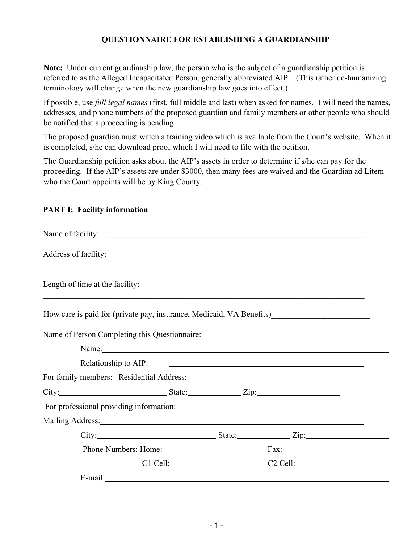## **QUESTIONNAIRE FOR ESTABLISHING A GUARDIANSHIP**

**Note:** Under current guardianship law, the person who is the subject of a guardianship petition is referred to as the Alleged Incapacitated Person, generally abbreviated AIP. (This rather de-humanizing terminology will change when the new guardianship law goes into effect.)

If possible, use *full legal names* (first, full middle and last) when asked for names. I will need the names, addresses, and phone numbers of the proposed guardian and family members or other people who should be notified that a proceeding is pending.

The proposed guardian must watch a training video which is available from the Court's website. When it is completed, s/he can download proof which I will need to file with the petition.

The Guardianship petition asks about the AIP's assets in order to determine if s/he can pay for the proceeding. If the AIP's assets are under \$3000, then many fees are waived and the Guardian ad Litem who the Court appoints will be by King County.

## **PART I: Facility information**

| Length of time at the facility:                                                                                                                                                                                                |                                                                                                                                                                                                                                |  |
|--------------------------------------------------------------------------------------------------------------------------------------------------------------------------------------------------------------------------------|--------------------------------------------------------------------------------------------------------------------------------------------------------------------------------------------------------------------------------|--|
| How care is paid for (private pay, insurance, Medicaid, VA Benefits)                                                                                                                                                           |                                                                                                                                                                                                                                |  |
| Name of Person Completing this Questionnaire:                                                                                                                                                                                  |                                                                                                                                                                                                                                |  |
|                                                                                                                                                                                                                                | Name: Name and the set of the set of the set of the set of the set of the set of the set of the set of the set of the set of the set of the set of the set of the set of the set of the set of the set of the set of the set o |  |
|                                                                                                                                                                                                                                |                                                                                                                                                                                                                                |  |
| For family members: Residential Address: Manual Accordination of the Second Lines of the Second Lines and Second Lines and Second Lines and Second Lines and Second Lines and Second Lines and Lines and Lines and Lines and L |                                                                                                                                                                                                                                |  |
| City: City: City:                                                                                                                                                                                                              |                                                                                                                                                                                                                                |  |
| For professional providing information:                                                                                                                                                                                        |                                                                                                                                                                                                                                |  |
|                                                                                                                                                                                                                                |                                                                                                                                                                                                                                |  |
|                                                                                                                                                                                                                                | $City:$ $Zip:$                                                                                                                                                                                                                 |  |
|                                                                                                                                                                                                                                |                                                                                                                                                                                                                                |  |
|                                                                                                                                                                                                                                | C1 Cell: C2 Cell: C2 Cell:                                                                                                                                                                                                     |  |
| E-mail:                                                                                                                                                                                                                        |                                                                                                                                                                                                                                |  |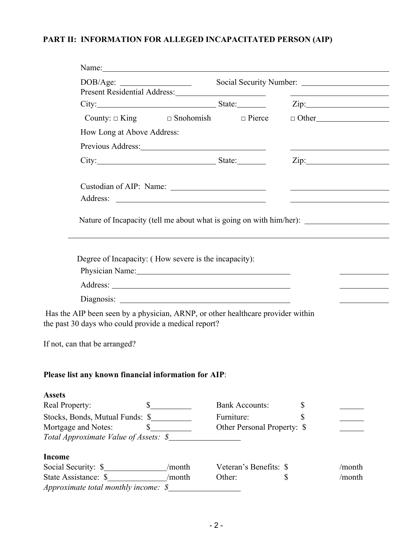## **PART II: INFORMATION FOR ALLEGED INCAPACITATED PERSON (AIP)**

 $\overline{\phantom{0}}$  $\overline{\phantom{0}}$ 

|                                                                                                                                                                                                                               |                             |    | <u> 1989 - Andrea Stadt Britain, amerikansk politik (</u>                                          |
|-------------------------------------------------------------------------------------------------------------------------------------------------------------------------------------------------------------------------------|-----------------------------|----|----------------------------------------------------------------------------------------------------|
| City: City: City: City: City: City: City: City: City: City: City: City: City: City: City: City: City: City: City: City: City: City: City: City: City: City: City: City: City: City: City: City: City: City: City: City: City: |                             |    |                                                                                                    |
| County: $\Box$ King $\Box$ Snohomish $\Box$ Pierce                                                                                                                                                                            |                             |    | $\Box$ Other                                                                                       |
| How Long at Above Address:                                                                                                                                                                                                    |                             |    |                                                                                                    |
|                                                                                                                                                                                                                               |                             |    |                                                                                                    |
|                                                                                                                                                                                                                               |                             |    | $\chi$ ip:                                                                                         |
|                                                                                                                                                                                                                               |                             |    |                                                                                                    |
|                                                                                                                                                                                                                               |                             |    | <u>and the second control of the second control of the second control of the second control of</u> |
|                                                                                                                                                                                                                               |                             |    |                                                                                                    |
|                                                                                                                                                                                                                               |                             |    |                                                                                                    |
|                                                                                                                                                                                                                               |                             |    |                                                                                                    |
| Degree of Incapacity: (How severe is the incapacity):<br>Physician Name: 1997                                                                                                                                                 |                             |    |                                                                                                    |
|                                                                                                                                                                                                                               |                             |    |                                                                                                    |
|                                                                                                                                                                                                                               |                             |    |                                                                                                    |
| Has the AIP been seen by a physician, ARNP, or other healthcare provider within<br>the past 30 days who could provide a medical report?                                                                                       |                             |    |                                                                                                    |
| If not, can that be arranged?                                                                                                                                                                                                 |                             |    |                                                                                                    |
|                                                                                                                                                                                                                               |                             |    |                                                                                                    |
| Please list any known financial information for AIP:                                                                                                                                                                          |                             |    |                                                                                                    |
|                                                                                                                                                                                                                               |                             |    |                                                                                                    |
| <b>Assets</b><br>Real Property:                                                                                                                                                                                               | <b>Bank Accounts:</b>       |    |                                                                                                    |
| Stocks, Bonds, Mutual Funds: \$                                                                                                                                                                                               | Furniture:                  | \$ |                                                                                                    |
| Mortgage and Notes:<br>s                                                                                                                                                                                                      | Other Personal Property: \$ |    |                                                                                                    |
| Total Approximate Value of Assets: \$                                                                                                                                                                                         |                             |    |                                                                                                    |
| Income                                                                                                                                                                                                                        |                             |    |                                                                                                    |
| Social Security: \$___________________/month                                                                                                                                                                                  | Veteran's Benefits: \$      |    | /month                                                                                             |
|                                                                                                                                                                                                                               | Other:                      | S  | /month                                                                                             |
| Approximate total monthly income: $\delta$                                                                                                                                                                                    |                             |    |                                                                                                    |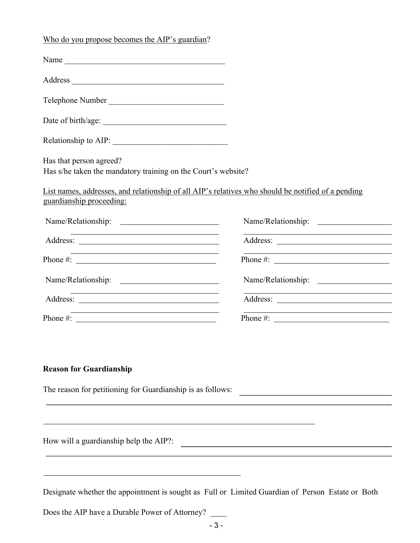| Who do you propose becomes the AIP's guardian?                                                                                                                                                                                                                                                         |                                                                                                                       |
|--------------------------------------------------------------------------------------------------------------------------------------------------------------------------------------------------------------------------------------------------------------------------------------------------------|-----------------------------------------------------------------------------------------------------------------------|
|                                                                                                                                                                                                                                                                                                        |                                                                                                                       |
|                                                                                                                                                                                                                                                                                                        |                                                                                                                       |
| Telephone Number                                                                                                                                                                                                                                                                                       |                                                                                                                       |
|                                                                                                                                                                                                                                                                                                        |                                                                                                                       |
|                                                                                                                                                                                                                                                                                                        |                                                                                                                       |
| Has that person agreed?<br>Has s/he taken the mandatory training on the Court's website?                                                                                                                                                                                                               |                                                                                                                       |
| guardianship proceeding:                                                                                                                                                                                                                                                                               | List names, addresses, and relationship of all AIP's relatives who should be notified of a pending                    |
|                                                                                                                                                                                                                                                                                                        |                                                                                                                       |
| <u> 1989 - Johann Barn, mars ann an t-Amhain Aonaich an t-Aonaich an t-Aonaich ann an t-Aonaich ann an t-Aonaich</u>                                                                                                                                                                                   | <u> 1980 - Johann Barn, mars ann an t-Amhain Aonaich an t-Aonaich an t-Aonaich an t-Aonaich an t-Aonaich an t-Aon</u> |
| Phone #: $\frac{1}{2}$ = $\frac{1}{2}$ = $\frac{1}{2}$ = $\frac{1}{2}$ = $\frac{1}{2}$ = $\frac{1}{2}$ = $\frac{1}{2}$ = $\frac{1}{2}$ = $\frac{1}{2}$ = $\frac{1}{2}$ = $\frac{1}{2}$ = $\frac{1}{2}$ = $\frac{1}{2}$ = $\frac{1}{2}$ = $\frac{1}{2}$ = $\frac{1}{2}$ = $\frac{1}{2}$ = $\frac{1}{2}$ | <u> 1989 - Johann Barbara, martin amerikan basar dan basa dan basa dan basa dan basa dan basa dalam basa dan basa</u> |
|                                                                                                                                                                                                                                                                                                        |                                                                                                                       |
|                                                                                                                                                                                                                                                                                                        |                                                                                                                       |
|                                                                                                                                                                                                                                                                                                        |                                                                                                                       |

The reason for petitioning for Guardianship is as follows:

How will a guardianship help the AIP?:

Designate whether the appointment is sought as Full or Limited Guardian of Person Estate or Both

Does the AIP have a Durable Power of Attorney?